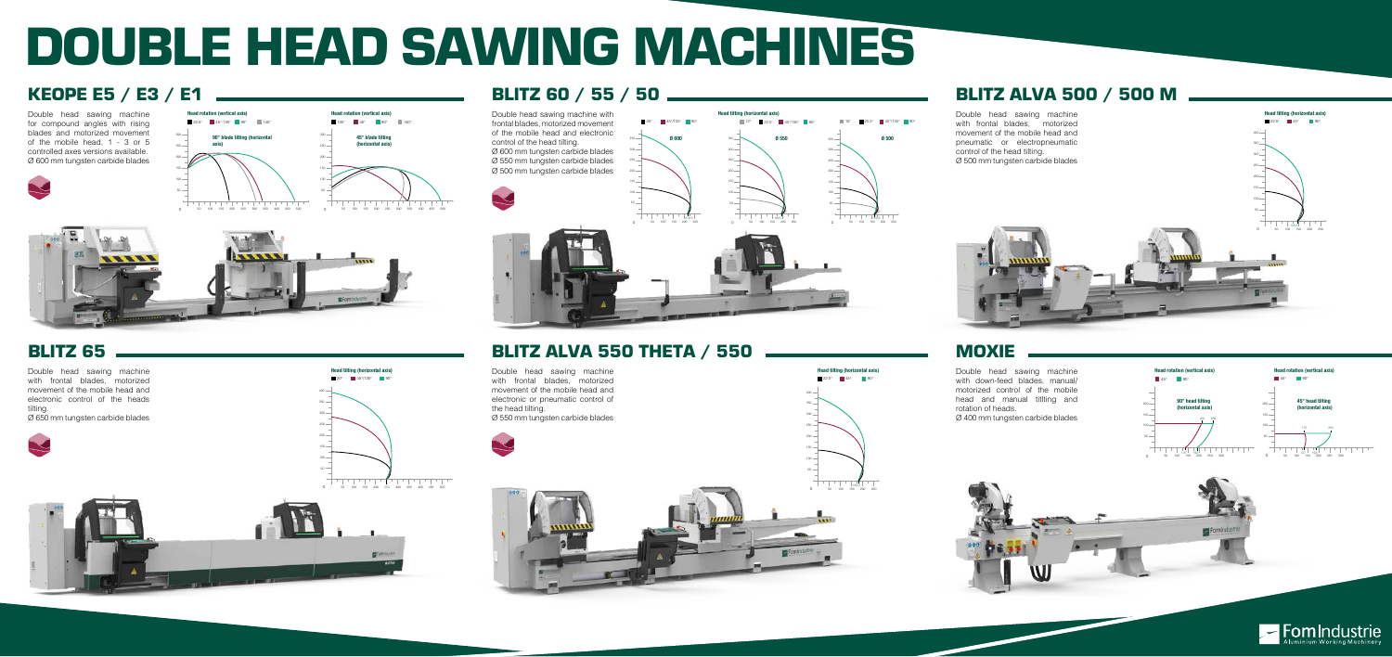# BLITZ 60 / 55 / 50



# DOUBLE HEAD SAWING MACHINES

### BLITZ 65

Double head sawing machine with frontal blades, motorized movement of the mobile head and electronic control of the heads tilting. Ø 650 mm tungsten carbide blades

### BLITZ ALVA 500 / 500 M

#### MOXIE

Double head sawing machine with frontal blades, motorized movement of the mobile head and pneumatic or electropneumatic control of the head tilting. Ø 500 mm tungsten carbide blades

Double head sawing machine with down-feed blades, manual/ motorized control of the mobile head and manual titlting and rotation of heads. Ø 400 mm tungsten carbide blades

## KEOPE E5 / E3 / E1



Double head sawing machine for compound angles with rising blades and motorized movement of the mobile head, 1 - 3 or 5 controlled axes versions available. Ø 600 mm tungsten carbide blades



## BLITZ ALVA 550 THETA / 550

Double head sawing machine with frontal blades, motorized movement of the mobile head and electronic or pneumatic control of the head tilting. Ø 550 mm tungsten carbide blades





Head tilting (horizontal axis)

20° 45°/135° 90°



300 350 400





50 100 150 200 250



<u> 1990 - John Barn Barn, mars a</u>

182,3

22,5° 45° 90°

Head tilting (horizontal axis)

Head tilting (horizontal axis)

 $22.5^\circ$  45° 90°